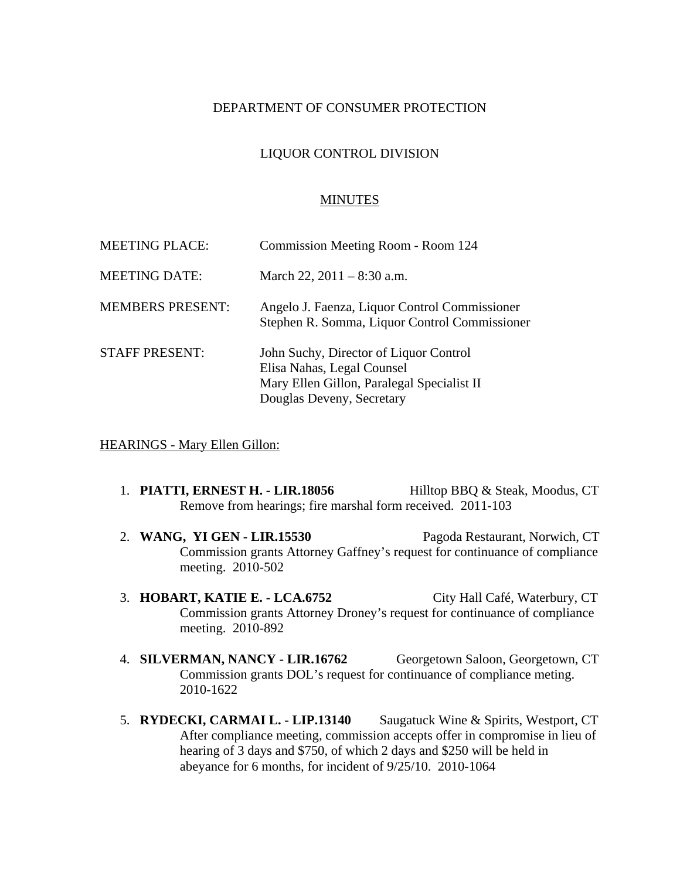## DEPARTMENT OF CONSUMER PROTECTION

# LIQUOR CONTROL DIVISION

### MINUTES

| <b>MEETING PLACE:</b>   | Commission Meeting Room - Room 124                                                                                                              |
|-------------------------|-------------------------------------------------------------------------------------------------------------------------------------------------|
| <b>MEETING DATE:</b>    | March 22, $2011 - 8:30$ a.m.                                                                                                                    |
| <b>MEMBERS PRESENT:</b> | Angelo J. Faenza, Liquor Control Commissioner<br>Stephen R. Somma, Liquor Control Commissioner                                                  |
| <b>STAFF PRESENT:</b>   | John Suchy, Director of Liquor Control<br>Elisa Nahas, Legal Counsel<br>Mary Ellen Gillon, Paralegal Specialist II<br>Douglas Deveny, Secretary |

#### HEARINGS - Mary Ellen Gillon:

- 1. **PIATTI, ERNEST H. LIR.18056** Hilltop BBQ & Steak, Moodus, CT Remove from hearings; fire marshal form received. 2011-103
- 2. **WANG, YI GEN LIR.15530** Pagoda Restaurant, Norwich, CT Commission grants Attorney Gaffney's request for continuance of compliance meeting. 2010-502
- 3. **HOBART, KATIE E. LCA.6752** City Hall Café, Waterbury, CT Commission grants Attorney Droney's request for continuance of compliance meeting. 2010-892
- 4. **SILVERMAN, NANCY LIR.16762** Georgetown Saloon, Georgetown, CT Commission grants DOL's request for continuance of compliance meting. 2010-1622
- 5. **RYDECKI, CARMAI L. LIP.13140** Saugatuck Wine & Spirits, Westport, CT After compliance meeting, commission accepts offer in compromise in lieu of hearing of 3 days and \$750, of which 2 days and \$250 will be held in abeyance for 6 months, for incident of 9/25/10. 2010-1064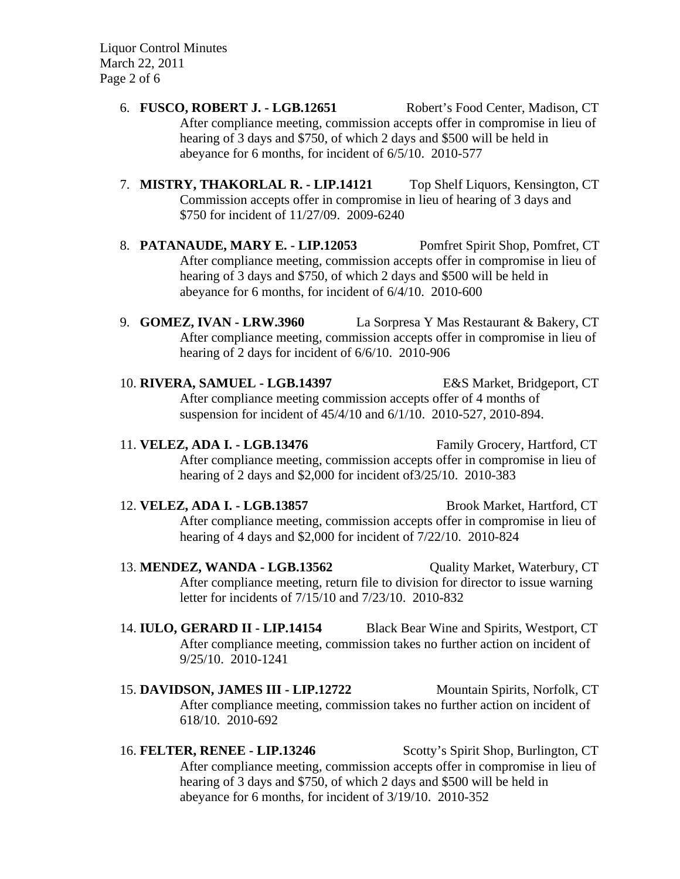Liquor Control Minutes March 22, 2011 Page 2 of 6

- 6. **FUSCO, ROBERT J. LGB.12651** Robert's Food Center, Madison, CT After compliance meeting, commission accepts offer in compromise in lieu of hearing of 3 days and \$750, of which 2 days and \$500 will be held in abeyance for 6 months, for incident of 6/5/10. 2010-577
- 7. **MISTRY, THAKORLAL R. LIP.14121** Top Shelf Liquors, Kensington, CT Commission accepts offer in compromise in lieu of hearing of 3 days and \$750 for incident of 11/27/09. 2009-6240
- 8. **PATANAUDE, MARY E. LIP.12053** Pomfret Spirit Shop, Pomfret, CT After compliance meeting, commission accepts offer in compromise in lieu of hearing of 3 days and \$750, of which 2 days and \$500 will be held in abeyance for 6 months, for incident of 6/4/10. 2010-600
- 9. **GOMEZ, IVAN LRW.3960** La Sorpresa Y Mas Restaurant & Bakery, CT After compliance meeting, commission accepts offer in compromise in lieu of hearing of 2 days for incident of 6/6/10. 2010-906
- 10. **RIVERA, SAMUEL LGB.14397** E&S Market, Bridgeport, CT After compliance meeting commission accepts offer of 4 months of suspension for incident of 45/4/10 and 6/1/10. 2010-527, 2010-894.
- 11. **VELEZ, ADA I. LGB.13476** Family Grocery, Hartford, CT After compliance meeting, commission accepts offer in compromise in lieu of hearing of 2 days and \$2,000 for incident of3/25/10. 2010-383
- 12. **VELEZ, ADA I. LGB.13857** Brook Market, Hartford, CT After compliance meeting, commission accepts offer in compromise in lieu of hearing of 4 days and \$2,000 for incident of 7/22/10. 2010-824
- 13. **MENDEZ, WANDA LGB.13562** Quality Market, Waterbury, CT After compliance meeting, return file to division for director to issue warning letter for incidents of 7/15/10 and 7/23/10. 2010-832
- 14. **IULO, GERARD II LIP.14154** Black Bear Wine and Spirits, Westport, CT After compliance meeting, commission takes no further action on incident of 9/25/10. 2010-1241
- 15. DAVIDSON, JAMES III LIP.12722 Mountain Spirits, Norfolk, CT After compliance meeting, commission takes no further action on incident of 618/10. 2010-692
- 16. **FELTER, RENEE LIP.13246** Scotty's Spirit Shop, Burlington, CT After compliance meeting, commission accepts offer in compromise in lieu of hearing of 3 days and \$750, of which 2 days and \$500 will be held in abeyance for 6 months, for incident of 3/19/10. 2010-352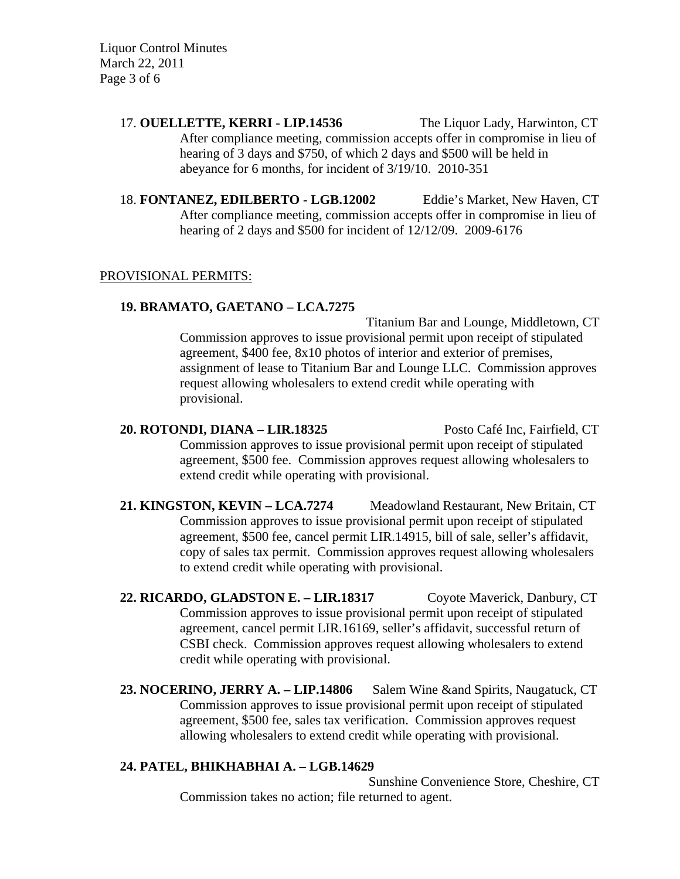Liquor Control Minutes March 22, 2011 Page 3 of 6

- 17. **OUELLETTE, KERRI LIP.14536** The Liquor Lady, Harwinton, CT After compliance meeting, commission accepts offer in compromise in lieu of hearing of 3 days and \$750, of which 2 days and \$500 will be held in abeyance for 6 months, for incident of 3/19/10. 2010-351
- 18. **FONTANEZ, EDILBERTO LGB.12002** Eddie's Market, New Haven, CT After compliance meeting, commission accepts offer in compromise in lieu of hearing of 2 days and \$500 for incident of 12/12/09. 2009-6176

### PROVISIONAL PERMITS:

#### **19. BRAMATO, GAETANO – LCA.7275**

Titanium Bar and Lounge, Middletown, CT Commission approves to issue provisional permit upon receipt of stipulated agreement, \$400 fee, 8x10 photos of interior and exterior of premises, assignment of lease to Titanium Bar and Lounge LLC. Commission approves request allowing wholesalers to extend credit while operating with provisional.

- **20. ROTONDI, DIANA LIR.18325** Posto Café Inc, Fairfield, CT Commission approves to issue provisional permit upon receipt of stipulated agreement, \$500 fee. Commission approves request allowing wholesalers to extend credit while operating with provisional.
- **21. KINGSTON, KEVIN LCA.7274** Meadowland Restaurant, New Britain, CT Commission approves to issue provisional permit upon receipt of stipulated agreement, \$500 fee, cancel permit LIR.14915, bill of sale, seller's affidavit, copy of sales tax permit. Commission approves request allowing wholesalers to extend credit while operating with provisional.
- **22. RICARDO, GLADSTON E. LIR.18317** Coyote Maverick, Danbury, CT Commission approves to issue provisional permit upon receipt of stipulated agreement, cancel permit LIR.16169, seller's affidavit, successful return of CSBI check. Commission approves request allowing wholesalers to extend credit while operating with provisional.
- **23. NOCERINO, JERRY A. LIP.14806** Salem Wine &and Spirits, Naugatuck, CT Commission approves to issue provisional permit upon receipt of stipulated agreement, \$500 fee, sales tax verification. Commission approves request allowing wholesalers to extend credit while operating with provisional.

## **24. PATEL, BHIKHABHAI A. – LGB.14629**

Sunshine Convenience Store, Cheshire, CT Commission takes no action; file returned to agent.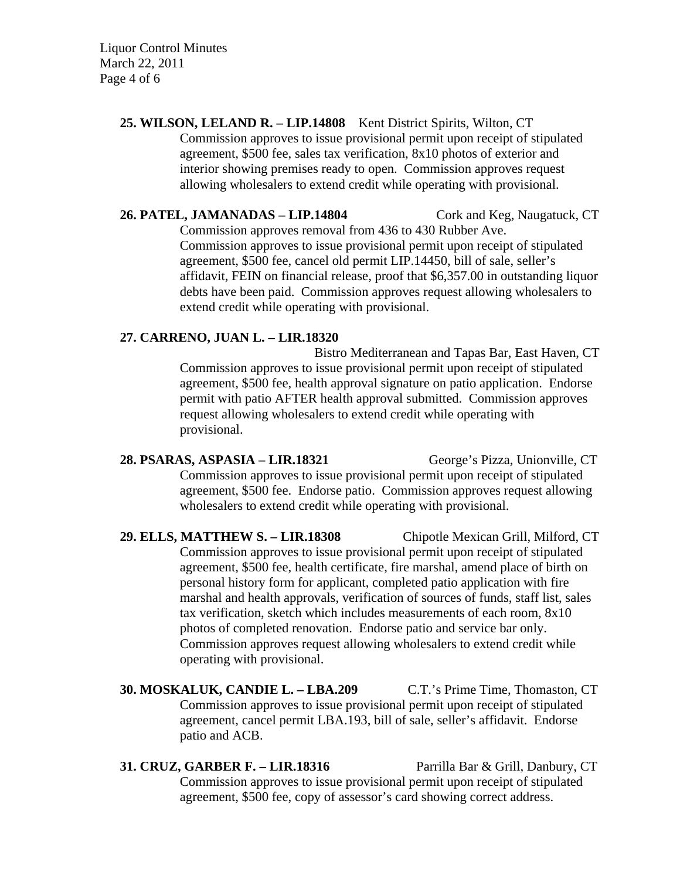Liquor Control Minutes March 22, 2011 Page 4 of 6

> **25. WILSON, LELAND R. – LIP.14808** Kent District Spirits, Wilton, CT Commission approves to issue provisional permit upon receipt of stipulated agreement, \$500 fee, sales tax verification, 8x10 photos of exterior and interior showing premises ready to open. Commission approves request allowing wholesalers to extend credit while operating with provisional.

26. **PATEL, JAMANADAS – LIP.14804** Cork and Keg, Naugatuck, CT Commission approves removal from 436 to 430 Rubber Ave. Commission approves to issue provisional permit upon receipt of stipulated agreement, \$500 fee, cancel old permit LIP.14450, bill of sale, seller's affidavit, FEIN on financial release, proof that \$6,357.00 in outstanding liquor debts have been paid. Commission approves request allowing wholesalers to extend credit while operating with provisional.

### **27. CARRENO, JUAN L. – LIR.18320**

Bistro Mediterranean and Tapas Bar, East Haven, CT Commission approves to issue provisional permit upon receipt of stipulated agreement, \$500 fee, health approval signature on patio application. Endorse permit with patio AFTER health approval submitted. Commission approves request allowing wholesalers to extend credit while operating with provisional.

**28. PSARAS, ASPASIA – LIR.18321** George's Pizza, Unionville, CT Commission approves to issue provisional permit upon receipt of stipulated agreement, \$500 fee. Endorse patio. Commission approves request allowing wholesalers to extend credit while operating with provisional.

**29. ELLS, MATTHEW S. – LIR.18308** Chipotle Mexican Grill, Milford, CT Commission approves to issue provisional permit upon receipt of stipulated agreement, \$500 fee, health certificate, fire marshal, amend place of birth on personal history form for applicant, completed patio application with fire marshal and health approvals, verification of sources of funds, staff list, sales tax verification, sketch which includes measurements of each room, 8x10 photos of completed renovation. Endorse patio and service bar only. Commission approves request allowing wholesalers to extend credit while operating with provisional.

**30. MOSKALUK, CANDIE L. – LBA.209** C.T.'s Prime Time, Thomaston, CT Commission approves to issue provisional permit upon receipt of stipulated agreement, cancel permit LBA.193, bill of sale, seller's affidavit. Endorse patio and ACB.

**31. CRUZ, GARBER F. – LIR.18316** Parrilla Bar & Grill, Danbury, CT Commission approves to issue provisional permit upon receipt of stipulated agreement, \$500 fee, copy of assessor's card showing correct address.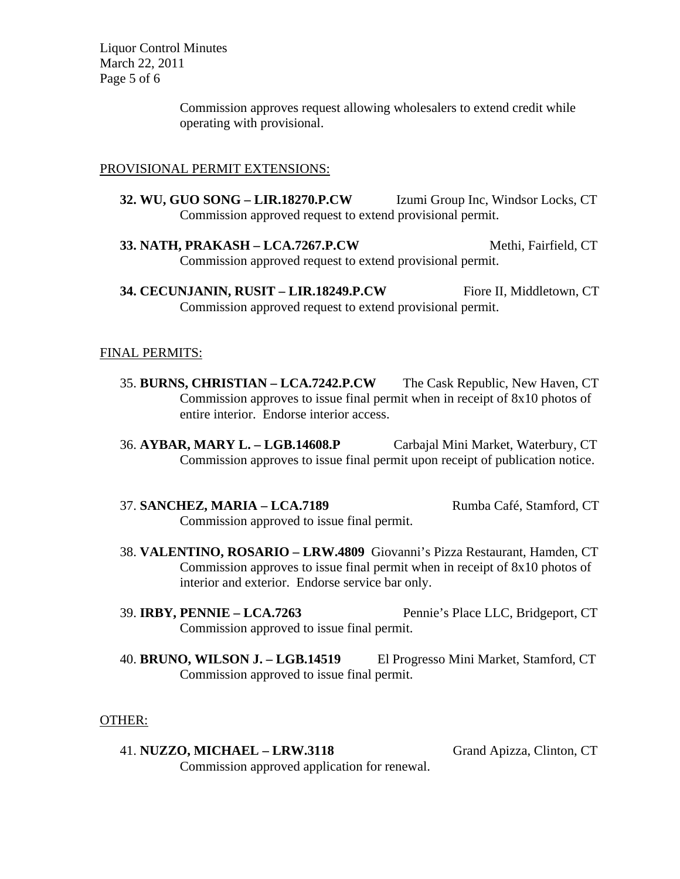Liquor Control Minutes March 22, 2011 Page 5 of 6

> Commission approves request allowing wholesalers to extend credit while operating with provisional.

## PROVISIONAL PERMIT EXTENSIONS:

- **32. WU, GUO SONG LIR.18270.P.CW** Izumi Group Inc, Windsor Locks, CT Commission approved request to extend provisional permit.
- **33. NATH, PRAKASH LCA.7267.P.CW Methi, Fairfield, CT** Commission approved request to extend provisional permit.
- **34. CECUNJANIN, RUSIT LIR.18249.P.CW Fiore II, Middletown, CT** Commission approved request to extend provisional permit.

### FINAL PERMITS:

- 35. **BURNS, CHRISTIAN LCA.7242.P.CW** The Cask Republic, New Haven, CT Commission approves to issue final permit when in receipt of 8x10 photos of entire interior. Endorse interior access.
- 36. **AYBAR, MARY L. LGB.14608.P** Carbajal Mini Market, Waterbury, CT Commission approves to issue final permit upon receipt of publication notice.
- 37. **SANCHEZ, MARIA LCA.7189** Rumba Café, Stamford, CT Commission approved to issue final permit.
- 38. **VALENTINO, ROSARIO LRW.4809** Giovanni's Pizza Restaurant, Hamden, CT Commission approves to issue final permit when in receipt of 8x10 photos of interior and exterior. Endorse service bar only.
- 39. **IRBY, PENNIE LCA.7263** Pennie's Place LLC, Bridgeport, CT Commission approved to issue final permit.
- 40. **BRUNO, WILSON J. LGB.14519** El Progresso Mini Market, Stamford, CT Commission approved to issue final permit.

#### OTHER:

41. **NUZZO, MICHAEL – LRW.3118** Grand Apizza, Clinton, CT Commission approved application for renewal.